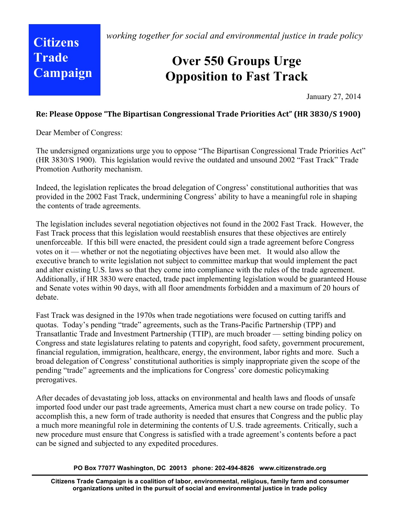*working together for social and environmental justice in trade policy*

# **Citizens Trade Campaign**

## **Over 550 Groups Urge Opposition to Fast Track**

January 27, 2014

## **Re:
Please
Oppose
"The
Bipartisan
Congressional
Trade
Priorities
Act"
(HR
3830/S
1900)**

Dear Member of Congress:

The undersigned organizations urge you to oppose "The Bipartisan Congressional Trade Priorities Act" (HR 3830/S 1900). This legislation would revive the outdated and unsound 2002 "Fast Track" Trade Promotion Authority mechanism.

Indeed, the legislation replicates the broad delegation of Congress' constitutional authorities that was provided in the 2002 Fast Track, undermining Congress' ability to have a meaningful role in shaping the contents of trade agreements.

The legislation includes several negotiation objectives not found in the 2002 Fast Track. However, the Fast Track process that this legislation would reestablish ensures that these objectives are entirely unenforceable. If this bill were enacted, the president could sign a trade agreement before Congress votes on it — whether or not the negotiating objectives have been met. It would also allow the executive branch to write legislation not subject to committee markup that would implement the pact and alter existing U.S. laws so that they come into compliance with the rules of the trade agreement. Additionally, if HR 3830 were enacted, trade pact implementing legislation would be guaranteed House and Senate votes within 90 days, with all floor amendments forbidden and a maximum of 20 hours of debate.

Fast Track was designed in the 1970s when trade negotiations were focused on cutting tariffs and quotas. Today's pending "trade" agreements, such as the Trans-Pacific Partnership (TPP) and Transatlantic Trade and Investment Partnership (TTIP), are much broader — setting binding policy on Congress and state legislatures relating to patents and copyright, food safety, government procurement, financial regulation, immigration, healthcare, energy, the environment, labor rights and more. Such a broad delegation of Congress' constitutional authorities is simply inappropriate given the scope of the pending "trade" agreements and the implications for Congress' core domestic policymaking prerogatives.

After decades of devastating job loss, attacks on environmental and health laws and floods of unsafe imported food under our past trade agreements, America must chart a new course on trade policy. To accomplish this, a new form of trade authority is needed that ensures that Congress and the public play a much more meaningful role in determining the contents of U.S. trade agreements. Critically, such a new procedure must ensure that Congress is satisfied with a trade agreement's contents before a pact can be signed and subjected to any expedited procedures.

### **PO Box 77077 Washington, DC 20013 phone: 202-494-8826 www.citizenstrade.org**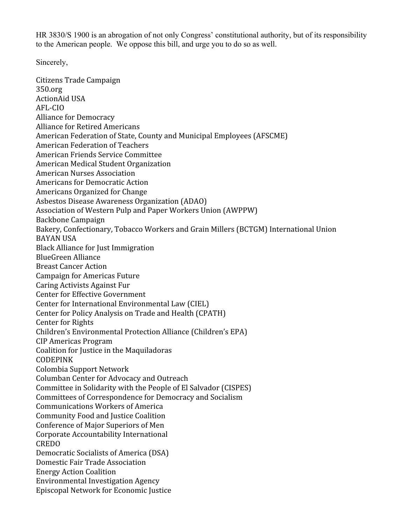HR 3830/S 1900 is an abrogation of not only Congress' constitutional authority, but of its responsibility to the American people. We oppose this bill, and urge you to do so as well.

Sincerely,

Citizens
Trade
Campaign 350.org ActionAid
USA AFL‐CIO Alliance
for
Democracy Alliance
for
Retired
Americans American
Federation
of
State,
County
and
Municipal
Employees
(AFSCME) American
Federation
of
Teachers American
Friends
Service
Committee American
Medical
Student
Organization American
Nurses
Association Americans
for
Democratic
Action Americans
Organized
for
Change Asbestos
Disease
Awareness
Organization
(ADAO) Association
of
Western
Pulp
and
Paper
Workers
Union
(AWPPW) Backbone
Campaign Bakery,
Confectionary,
Tobacco
Workers
and
Grain
Millers
(BCTGM)
International
Union BAYAN
USA Black
Alliance
for
Just
Immigration BlueGreen
Alliance Breast
Cancer
Action Campaign
for
Americas
Future Caring
Activists
Against
Fur Center
for
Effective
Government Center
for
International
Environmental
Law
(CIEL) Center
for
Policy
Analysis
on
Trade
and
Health
(CPATH) Center
for
Rights Children's
Environmental
Protection
Alliance
(Children's
EPA) CIP
Americas
Program Coalition
for
Justice
in
the
Maquiladoras CODEPINK Colombia
Support
Network Columban
Center
for
Advocacy
and
Outreach Committee
in
Solidarity
with
the
People
of
El
Salvador
(CISPES) Committees
of
Correspondence
for
Democracy
and
Socialism Communications
Workers
of
America Community
Food
and
Justice
Coalition Conference
of
Major
Superiors
of
Men Corporate
Accountability
International CREDO Democratic
Socialists
of
America
(DSA) Domestic
Fair
Trade
Association Energy
Action
Coalition Environmental
Investigation
Agency Episcopal
Network
for
Economic
Justice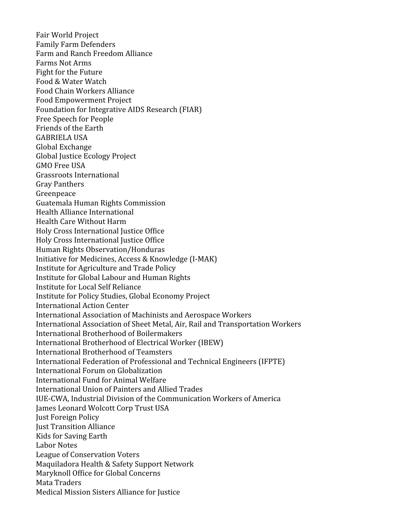Fair
World
Project Family
Farm
Defenders Farm
and
Ranch
Freedom
Alliance Farms
Not
Arms Fight
for
the
Future Food
&
Water
Watch Food
Chain
Workers
Alliance Food
Empowerment
Project Foundation
for
Integrative
AIDS
Research
(FIAR) Free
Speech
for
People Friends
of
the
Earth GABRIELA
USA Global
Exchange Global
Justice
Ecology
Project GMO
Free
USA Grassroots
International Gray
Panthers Greenpeace Guatemala
Human
Rights
Commission Health
Alliance
International Health
Care
Without
Harm Holy
Cross
International
Justice
Office Holy
Cross
International
Justice
Office Human
Rights
Observation/Honduras Initiative
for
Medicines,
Access
&
Knowledge
(I‐MAK) Institute
for
Agriculture
and
Trade
Policy Institute
for
Global
Labour
and
Human
Rights Institute
for
Local
Self
Reliance Institute
for
Policy
Studies,
Global
Economy
Project International
Action
Center International
Association
of
Machinists
and
Aerospace
Workers International
Association
of
Sheet
Metal,
Air,
Rail
and
Transportation
Workers International
Brotherhood
of
Boilermakers International
Brotherhood
of
Electrical
Worker
(IBEW) International
Brotherhood
of
Teamsters International
Federation
of
Professional
and
Technical
Engineers
(IFPTE) International
Forum
on
Globalization International
Fund
for
Animal
Welfare International
Union
of
Painters
and
Allied
Trades IUE‐CWA,
Industrial
Division
of
the
Communication
Workers
of
America James
Leonard
Wolcott
Corp
Trust
USA Just
Foreign
Policy Just
Transition
Alliance Kids
for
Saving
Earth Labor
Notes League
of
Conservation
Voters Maquiladora
Health
&
Safety
Support
Network Maryknoll
Office
for
Global
Concerns Mata
Traders Medical
Mission
Sisters
Alliance
for
Justice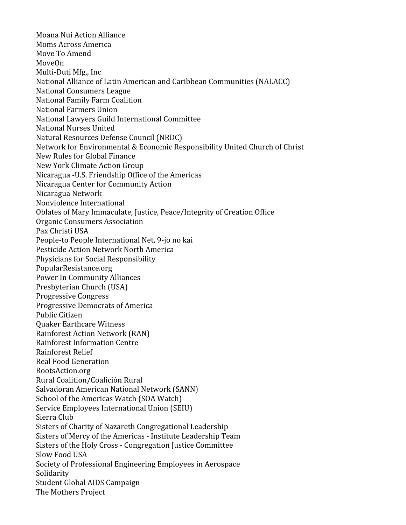Moana
Nui
Action
Alliance Moms
Across
America Move
To
Amend MoveOn Multi‐Duti
Mfg.,
Inc National
Alliance
of
Latin
American
and
Caribbean
Communities
(NALACC) National
Consumers
League National
Family
Farm
Coalition National
Farmers
Union National
Lawyers
Guild
International
Committee National
Nurses
United Natural
Resources
Defense
Council
(NRDC) Network
for
Environmental
&
Economic
Responsibility
United
Church
of
Christ New
Rules
for
Global
Finance New
York
Climate
Action
Group Nicaragua
‐U.S.
Friendship
Office
of
the
Americas Nicaragua
Center
for
Community
Action Nicaragua
Network Nonviolence
International Oblates of Mary Immaculate, Justice, Peace/Integrity of Creation Office Organic
Consumers
Association Pax
Christi
USA People-to People International Net, 9-jo no kai Pesticide
Action
Network
North
America Physicians
for
Social
Responsibility PopularResistance.org Power
In
Community
Alliances Presbyterian
Church
(USA) Progressive
Congress Progressive
Democrats
of
America Public
Citizen Quaker
Earthcare
Witness Rainforest
Action
Network
(RAN) Rainforest
Information
Centre Rainforest
Relief Real
Food
Generation RootsAction.org Rural
Coalition/Coalición
Rural Salvadoran
American
National
Network
(SANN) School
of
the
Americas
Watch
(SOA
Watch) Service
Employees
International
Union
(SEIU) Sierra
Club Sisters
of
Charity
of
Nazareth
Congregational
Leadership Sisters of Mercy of the Americas - Institute Leadership Team Sisters
of
the
Holy
Cross
‐
Congregation
Justice
Committee Slow
Food
USA Society
of
Professional
Engineering
Employees
in
Aerospace Solidarity Student
Global
AIDS
Campaign The
Mothers
Project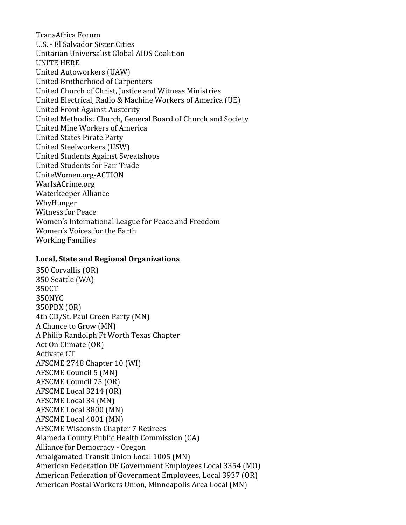TransAfrica
Forum U.S.
‐
El
Salvador
Sister
Cities Unitarian
Universalist
Global
AIDS
Coalition UNITE
HERE United
Autoworkers
(UAW) United
Brotherhood
of
Carpenters United
Church
of
Christ,
Justice
and
Witness
Ministries United
Electrical,
Radio
&
Machine
Workers
of
America
(UE) United
Front
Against
Austerity United
Methodist
Church,
General
Board
of
Church
and
Society United
Mine
Workers
of
America United
States
Pirate
Party United
Steelworkers
(USW) United
Students
Against
Sweatshops United
Students
for
Fair
Trade UniteWomen.org‐ACTION WarIsACrime.org Waterkeeper
Alliance WhyHunger Witness
for
Peace Women's
International
League
for
Peace
and
Freedom Women's
Voices
for
the
Earth Working
Families

#### **Local,
State
and
Regional
Organizations**

350
Corvallis
(OR) 350
Seattle
(WA) 350CT 350NYC 350PDX
(OR) 4th
CD/St.
Paul
Green
Party
(MN) A
Chance
to
Grow
(MN) A
Philip
Randolph
Ft
Worth
Texas
Chapter Act
On
Climate
(OR) Activate
CT AFSCME
2748
Chapter
10
(WI) AFSCME
Council
5
(MN) AFSCME
Council
75
(OR) AFSCME
Local
3214
(OR) AFSCME
Local
34
(MN) AFSCME
Local
3800
(MN) AFSCME
Local
4001
(MN) AFSCME
Wisconsin
Chapter
7
Retirees Alameda
County
Public
Health
Commission
(CA) Alliance
for
Democracy
‐
Oregon Amalgamated
Transit
Union
Local
1005
(MN) American
Federation
OF
Government
Employees
Local
3354
(MO) American
Federation
of
Government
Employees,
Local
3937
(OR) American
Postal
Workers
Union,
Minneapolis
Area
Local
(MN)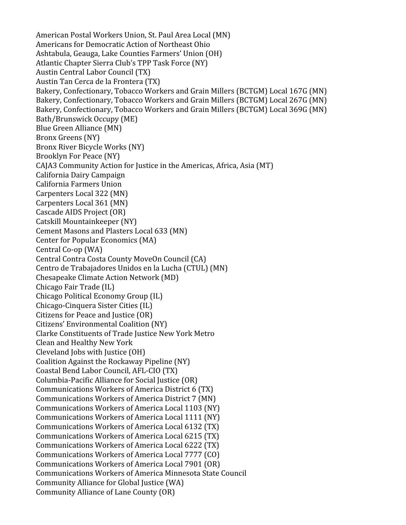American
Postal
Workers
Union,
St.
Paul
Area
Local
(MN) Americans
for
Democratic
Action
of
Northeast
Ohio Ashtabula,
Geauga,
Lake
Counties
Farmers'
Union
(OH) Atlantic
Chapter
Sierra
Club's
TPP
Task
Force
(NY) Austin
Central
Labor
Council
(TX) Austin
Tan
Cerca
de
la
Frontera
(TX) Bakery, Confectionary, Tobacco Workers and Grain Millers (BCTGM) Local 167G (MN) Bakery, Confectionary, Tobacco Workers and Grain Millers (BCTGM) Local 267G (MN) Bakery, Confectionary, Tobacco Workers and Grain Millers (BCTGM) Local 369G (MN) Bath/Brunswick
Occupy
(ME) Blue
Green
Alliance
(MN) Bronx
Greens
(NY) Bronx
River
Bicycle
Works
(NY) Brooklyn
For
Peace
(NY) CAJA3
Community
Action
for
Justice
in
the
Americas,
Africa,
Asia
(MT) California
Dairy
Campaign California
Farmers
Union Carpenters
Local
322
(MN) Carpenters
Local
361
(MN) Cascade
AIDS
Project
(OR) Catskill
Mountainkeeper
(NY) Cement
Masons
and
Plasters
Local
633
(MN) Center
for
Popular
Economics
(MA) Central
Co‐op
(WA) Central
Contra
Costa
County
MoveOn
Council
(CA) Centro
de
Trabajadores
Unidos
en
la
Lucha
(CTUL)
(MN) Chesapeake
Climate
Action
Network
(MD) Chicago
Fair
Trade
(IL) Chicago
Political
Economy
Group
(IL) Chicago‐Cinquera
Sister
Cities
(IL) Citizens
for
Peace
and
Justice
(OR) Citizens'
Environmental
Coalition
(NY) Clarke
Constituents
of
Trade
Justice
New
York
Metro Clean
and
Healthy
New
York Cleveland
Jobs
with
Justice
(OH) Coalition
Against
the
Rockaway
Pipeline
(NY) Coastal
Bend
Labor
Council,
AFL‐CIO
(TX) Columbia‐Pacific
Alliance
for
Social
Justice
(OR) Communications
Workers
of
America
District
6
(TX) Communications
Workers
of
America
District
7
(MN) Communications
Workers
of
America
Local
1103
(NY) Communications
Workers
of
America
Local
1111
(NY) Communications
Workers
of
America
Local
6132
(TX) Communications
Workers
of
America
Local
6215
(TX) Communications
Workers
of
America
Local
6222
(TX) Communications
Workers
of
America
Local
7777
(CO) Communications
Workers
of
America
Local
7901
(OR) Communications
Workers
of
America
Minnesota
State
Council Community
Alliance
for
Global
Justice
(WA) Community
Alliance
of
Lane
County
(OR)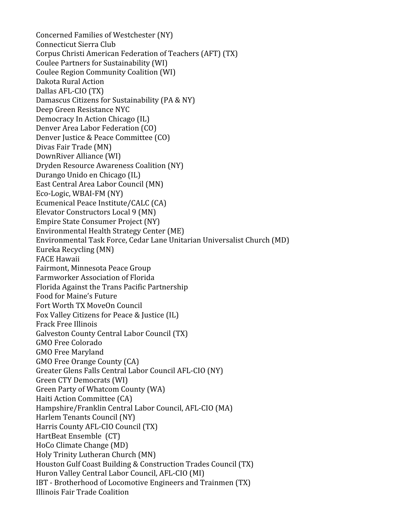Concerned
Families
of
Westchester
(NY) Connecticut
Sierra
Club Corpus
Christi
American
Federation
of
Teachers
(AFT)
(TX) Coulee
Partners
for
Sustainability
(WI) Coulee
Region
Community
Coalition
(WI) Dakota
Rural
Action Dallas
AFL‐CIO
(TX) Damascus Citizens for Sustainability (PA & NY) Deep
Green
Resistance
NYC Democracy
In
Action
Chicago
(IL) Denver
Area
Labor
Federation
(CO) Denver
Justice
&
Peace
Committee
(CO) Divas
Fair
Trade
(MN) DownRiver
Alliance
(WI) Dryden
Resource
Awareness
Coalition
(NY) Durango
Unido
en
Chicago
(IL) East
Central
Area
Labor
Council
(MN) Eco‐Logic,
WBAI‐FM
(NY) Ecumenical
Peace
Institute/CALC
(CA) Elevator
Constructors
Local
9
(MN) Empire
State
Consumer
Project
(NY) Environmental
Health
Strategy
Center
(ME) Environmental
Task
Force,
Cedar
Lane
Unitarian
Universalist
Church
(MD) Eureka
Recycling
(MN) FACE
Hawaii Fairmont,
Minnesota
Peace
Group Farmworker
Association
of
Florida Florida
Against
the
Trans
Pacific
Partnership Food
for
Maine's
Future Fort
Worth
TX
MoveOn
Council Fox
Valley
Citizens
for
Peace
&
Justice
(IL) Frack
Free
Illinois Galveston
County
Central
Labor
Council
(TX) GMO
Free
Colorado GMO
Free
Maryland GMO
Free
Orange
County
(CA) Greater
Glens
Falls
Central
Labor
Council
AFL‐CIO
(NY) Green
CTY
Democrats
(WI) Green
Party
of
Whatcom
County
(WA) Haiti
Action
Committee
(CA) Hampshire/Franklin
Central
Labor
Council,
AFL‐CIO
(MA) Harlem
Tenants
Council
(NY) Harris
County
AFL‐CIO
Council
(TX) HartBeat
Ensemble

(CT) HoCo
Climate
Change
(MD) Holy
Trinity
Lutheran
Church
(MN) Houston
Gulf
Coast
Building
&
Construction
Trades
Council
(TX) Huron
Valley
Central
Labor
Council,
AFL‐CIO
(MI) IBT
‐
Brotherhood
of
Locomotive
Engineers
and
Trainmen
(TX) Illinois
Fair
Trade
Coalition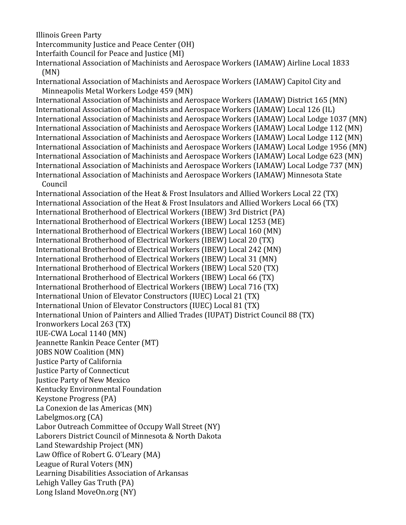Illinois
Green
Party

Long
Island
MoveOn.org
(NY)

Intercommunity
Justice
and
Peace
Center
(OH)

Interfaith
Council
for
Peace
and
Justice
(MI)

International
Association
of
Machinists
and
Aerospace
Workers
(IAMAW)
Airline
Local
1833 (MN)

International Association of Machinists and Aerospace Workers (IAMAW) Capitol City and Minneapolis
Metal
Workers
Lodge
459
(MN)

International Association of Machinists and Aerospace Workers (IAMAW) District 165 (MN) International Association of Machinists and Aerospace Workers (IAMAW) Local 126 (IL) International Association of Machinists and Aerospace Workers (IAMAW) Local Lodge 1037 (MN) International Association of Machinists and Aerospace Workers (IAMAW) Local Lodge 112 (MN) International Association of Machinists and Aerospace Workers (IAMAW) Local Lodge 112 (MN) International Association of Machinists and Aerospace Workers (IAMAW) Local Lodge 1956 (MN) International Association of Machinists and Aerospace Workers (IAMAW) Local Lodge 623 (MN) International Association of Machinists and Aerospace Workers (IAMAW) Local Lodge 737 (MN) International Association of Machinists and Aerospace Workers (IAMAW) Minnesota State Council

International Association of the Heat & Frost Insulators and Allied Workers Local 22 (TX) International Association of the Heat & Frost Insulators and Allied Workers Local 66 (TX) International
Brotherhood
of
Electrical
Workers
(IBEW)
3rd
District
(PA) International
Brotherhood
of
Electrical
Workers
(IBEW)
Local
1253
(ME) International
Brotherhood
of
Electrical
Workers
(IBEW)
Local
160
(MN) International
Brotherhood
of
Electrical
Workers
(IBEW)
Local
20
(TX) International
Brotherhood
of
Electrical
Workers
(IBEW)
Local
242
(MN) International
Brotherhood
of
Electrical
Workers
(IBEW)
Local
31
(MN) International
Brotherhood
of
Electrical
Workers
(IBEW)
Local
520
(TX) International
Brotherhood
of
Electrical
Workers
(IBEW)
Local
66
(TX) International
Brotherhood
of
Electrical
Workers
(IBEW)
Local
716
(TX) International
Union
of
Elevator
Constructors
(IUEC)
Local
21
(TX) International
Union
of
Elevator
Constructors
(IUEC)
Local
81
(TX) International Union of Painters and Allied Trades (IUPAT) District Council 88 (TX) Ironworkers
Local
263
(TX) IUE‐CWA
Local
1140
(MN) Jeannette
Rankin
Peace
Center
(MT) JOBS
NOW
Coalition
(MN) Justice
Party
of
California Justice
Party
of
Connecticut Justice
Party
of
New
Mexico Kentucky
Environmental
Foundation Keystone
Progress
(PA) La
Conexion
de
las
Americas
(MN) Labelgmos.org
(CA) Labor
Outreach
Committee
of
Occupy
Wall
Street
(NY) Laborers
District
Council
of
Minnesota
&
North
Dakota Land
Stewardship
Project
(MN) Law
Office
of
Robert
G.
O'Leary
(MA) League
of
Rural
Voters
(MN) Learning
Disabilities
Association
of
Arkansas Lehigh
Valley
Gas
Truth
(PA)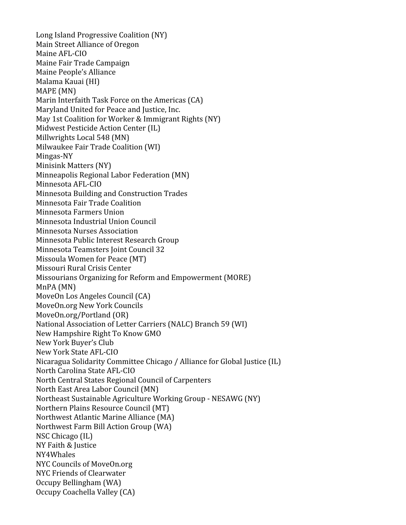Long
Island
Progressive
Coalition
(NY) Main
Street
Alliance
of
Oregon Maine
AFL‐CIO Maine
Fair
Trade
Campaign Maine
People's
Alliance Malama
Kauai
(HI) MAPE
(MN) Marin Interfaith Task Force on the Americas (CA) Maryland
United
for
Peace
and
Justice,
Inc. May 1st Coalition for Worker & Immigrant Rights (NY) Midwest
Pesticide
Action
Center
(IL) Millwrights
Local
548
(MN) Milwaukee
Fair
Trade
Coalition
(WI) Mingas‐NY Minisink
Matters
(NY) Minneapolis
Regional
Labor
Federation
(MN) Minnesota
AFL‐CIO Minnesota
Building
and
Construction
Trades Minnesota
Fair
Trade
Coalition Minnesota
Farmers
Union Minnesota
Industrial
Union
Council Minnesota
Nurses
Association Minnesota
Public
Interest
Research
Group Minnesota
Teamsters
Joint
Council
32 Missoula
Women
for
Peace
(MT) Missouri
Rural
Crisis
Center Missourians
Organizing
for
Reform
and
Empowerment
(MORE) MnPA
(MN) MoveOn
Los
Angeles
Council
(CA) MoveOn.org
New
York
Councils MoveOn.org/Portland
(OR) National
Association
of
Letter
Carriers
(NALC)
Branch
59
(WI) New
Hampshire
Right
To
Know
GMO New
York
Buyer's
Club New
York
State
AFL‐CIO Nicaragua
Solidarity
Committee
Chicago
/
Alliance
for
Global
Justice
(IL) North
Carolina
State
AFL‐CIO North
Central
States
Regional
Council
of
Carpenters North
East
Area
Labor
Council
(MN) Northeast
Sustainable
Agriculture
Working
Group
‐
NESAWG
(NY) Northern
Plains
Resource
Council
(MT) Northwest
Atlantic
Marine
Alliance
(MA) Northwest
Farm
Bill
Action
Group
(WA) NSC
Chicago
(IL) NY
Faith
&
Justice NY4Whales NYC
Councils
of
MoveOn.org NYC
Friends
of
Clearwater Occupy
Bellingham
(WA) Occupy
Coachella
Valley
(CA)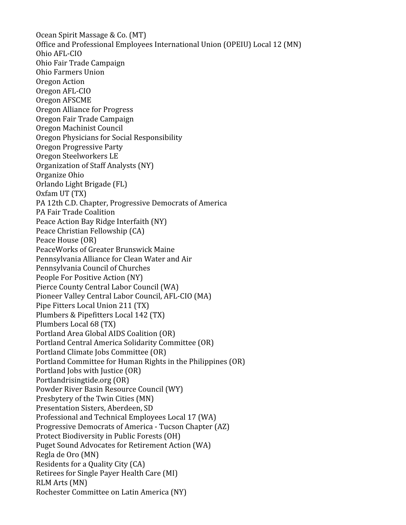Ocean
Spirit
Massage
&
Co.
(MT) Office
and
Professional
Employees
International
Union
(OPEIU)
Local
12
(MN) Ohio
AFL‐CIO Ohio
Fair
Trade
Campaign Ohio
Farmers
Union Oregon
Action Oregon
AFL‐CIO Oregon
AFSCME Oregon
Alliance
for
Progress Oregon
Fair
Trade
Campaign Oregon
Machinist
Council Oregon
Physicians
for
Social
Responsibility Oregon
Progressive
Party Oregon
Steelworkers
LE Organization
of
Staff
Analysts
(NY) Organize
Ohio Orlando
Light
Brigade
(FL) Oxfam
UT
(TX) PA
12th
C.D.
Chapter,
Progressive
Democrats
of
America PA
Fair
Trade
Coalition Peace
Action
Bay
Ridge
Interfaith
(NY) Peace
Christian
Fellowship
(CA) Peace
House
(OR) PeaceWorks
of
Greater
Brunswick
Maine Pennsylvania
Alliance
for
Clean
Water
and
Air Pennsylvania
Council
of
Churches People
For
Positive
Action
(NY) Pierce
County
Central
Labor
Council
(WA) Pioneer
Valley
Central
Labor
Council,
AFL‐CIO
(MA) Pipe Fitters Local Union 211 (TX) Plumbers
&
Pipefitters
Local
142
(TX) Plumbers
Local
68
(TX) Portland
Area
Global
AIDS
Coalition
(OR) Portland
Central
America
Solidarity
Committee
(OR) Portland
Climate
Jobs
Committee
(OR) Portland
Committee
for
Human
Rights
in
the
Philippines
(OR) Portland
Jobs
with
Justice
(OR) Portlandrisingtide.org
(OR) Powder
River
Basin
Resource
Council
(WY) Presbytery of the Twin Cities (MN) Presentation
Sisters,
Aberdeen,
SD Professional
and
Technical
Employees
Local
17
(WA) Progressive
Democrats
of
America
‐
Tucson
Chapter
(AZ) Protect
Biodiversity
in
Public
Forests
(OH) Puget
Sound
Advocates
for
Retirement
Action
(WA) Regla
de
Oro
(MN) Residents
for
a
Quality
City
(CA) Retirees
for
Single
Payer
Health
Care
(MI) RLM
Arts
(MN) Rochester
Committee
on
Latin
America
(NY)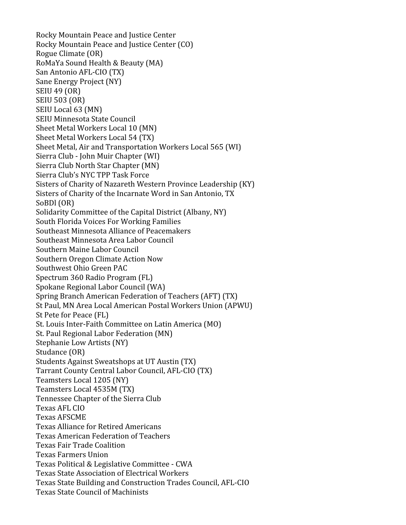Rocky
Mountain
Peace
and
Justice
Center Rocky
Mountain
Peace
and
Justice
Center
(CO) Rogue
Climate
(OR) RoMaYa
Sound
Health
&
Beauty
(MA) San
Antonio
AFL‐CIO
(TX) Sane
Energy
Project
(NY) SEIU
49
(OR) SEIU
503
(OR) SEIU
Local
63
(MN) SEIU
Minnesota
State
Council Sheet
Metal
Workers
Local
10
(MN) Sheet
Metal
Workers
Local
54
(TX) Sheet
Metal,
Air
and
Transportation
Workers
Local
565
(WI) Sierra
Club
‐
John
Muir
Chapter
(WI) Sierra
Club
North
Star
Chapter
(MN) Sierra
Club's
NYC
TPP
Task
Force Sisters
of
Charity
of
Nazareth
Western
Province
Leadership
(KY) Sisters of Charity of the Incarnate Word in San Antonio, TX SoBDl
(OR) Solidarity Committee of the Capital District (Albany, NY) South
Florida
Voices
For
Working
Families Southeast
Minnesota
Alliance
of
Peacemakers Southeast
Minnesota
Area
Labor
Council Southern
Maine
Labor
Council Southern
Oregon
Climate
Action
Now Southwest
Ohio
Green
PAC Spectrum
360
Radio
Program
(FL) Spokane
Regional
Labor
Council
(WA) Spring
Branch
American
Federation
of
Teachers
(AFT)
(TX) St
Paul,
MN
Area
Local
American
Postal
Workers
Union
(APWU) St
Pete
for
Peace
(FL) St.
Louis
Inter‐Faith
Committee
on
Latin
America
(MO) St.
Paul
Regional
Labor
Federation
(MN) Stephanie
Low
Artists
(NY) Studance
(OR) Students
Against
Sweatshops
at
UT
Austin
(TX) Tarrant
County
Central
Labor
Council,
AFL‐CIO
(TX) Teamsters
Local
1205
(NY) Teamsters
Local
4535M
(TX) Tennessee Chapter of the Sierra Club Texas
AFL
CIO Texas
AFSCME Texas
Alliance
for
Retired
Americans Texas
American
Federation
of
Teachers Texas
Fair
Trade
Coalition Texas
Farmers
Union Texas
Political
&
Legislative
Committee
‐
CWA Texas
State
Association
of
Electrical
Workers Texas
State
Building
and
Construction
Trades
Council,
AFL‐CIO Texas
State
Council
of
Machinists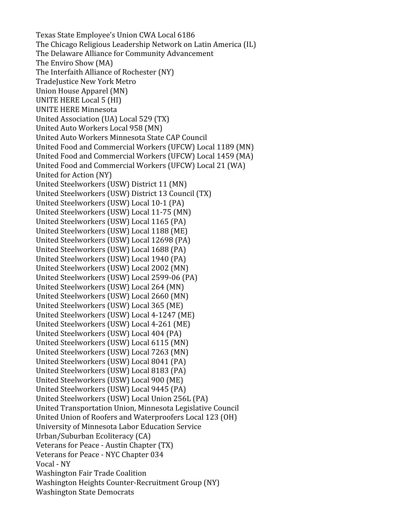Texas
State
Employee's
Union
CWA
Local
6186 The
Chicago
Religious
Leadership
Network
on
Latin
America
(IL) The
Delaware
Alliance
for
Community
Advancement The
Enviro
Show
(MA) The
Interfaith
Alliance
of
Rochester
(NY) TradeJustice New York Metro Union
House
Apparel
(MN) UNITE
HERE
Local
5
(HI) UNITE
HERE
Minnesota United
Association
(UA)
Local
529
(TX) United
Auto
Workers
Local
958
(MN) United
Auto
Workers
Minnesota
State
CAP
Council United Food and Commercial Workers (UFCW) Local 1189 (MN) United
Food
and
Commercial
Workers
(UFCW)
Local
1459
(MA) United
Food
and
Commercial
Workers
(UFCW)
Local
21
(WA) United
for
Action
(NY) United
Steelworkers
(USW)
District
11
(MN) United
Steelworkers
(USW)
District
13
Council
(TX) United
Steelworkers
(USW)
Local
10‐1
(PA) United
Steelworkers
(USW)
Local
11‐75
(MN) United
Steelworkers
(USW)
Local
1165
(PA) United
Steelworkers
(USW)
Local
1188
(ME) United
Steelworkers
(USW)
Local
12698
(PA) United
Steelworkers
(USW)
Local
1688
(PA) United
Steelworkers
(USW)
Local
1940
(PA) United
Steelworkers
(USW)
Local
2002
(MN) United
Steelworkers
(USW)
Local
2599‐06
(PA) United
Steelworkers
(USW)
Local
264
(MN) United
Steelworkers
(USW)
Local
2660
(MN) United
Steelworkers
(USW)
Local
365
(ME) United
Steelworkers
(USW)
Local
4‐1247
(ME) United
Steelworkers
(USW)
Local
4‐261
(ME) United
Steelworkers
(USW)
Local
404
(PA) United
Steelworkers
(USW)
Local
6115
(MN) United
Steelworkers
(USW)
Local
7263
(MN) United
Steelworkers
(USW)
Local
8041
(PA) United
Steelworkers
(USW)
Local
8183
(PA) United
Steelworkers
(USW)
Local
900
(ME) United
Steelworkers
(USW)
Local
9445
(PA) United
Steelworkers
(USW)
Local
Union
256L
(PA) United Transportation Union, Minnesota Legislative Council United
Union
of
Roofers
and
Waterproofers
Local
123
(OH) University
of
Minnesota
Labor
Education
Service Urban/Suburban
Ecoliteracy
(CA) Veterans
for
Peace
‐
Austin
Chapter
(TX) Veterans
for
Peace
‐
NYC
Chapter
034 Vocal
‐
NY Washington
Fair
Trade
Coalition Washington
Heights
Counter‐Recruitment
Group
(NY) Washington
State
Democrats